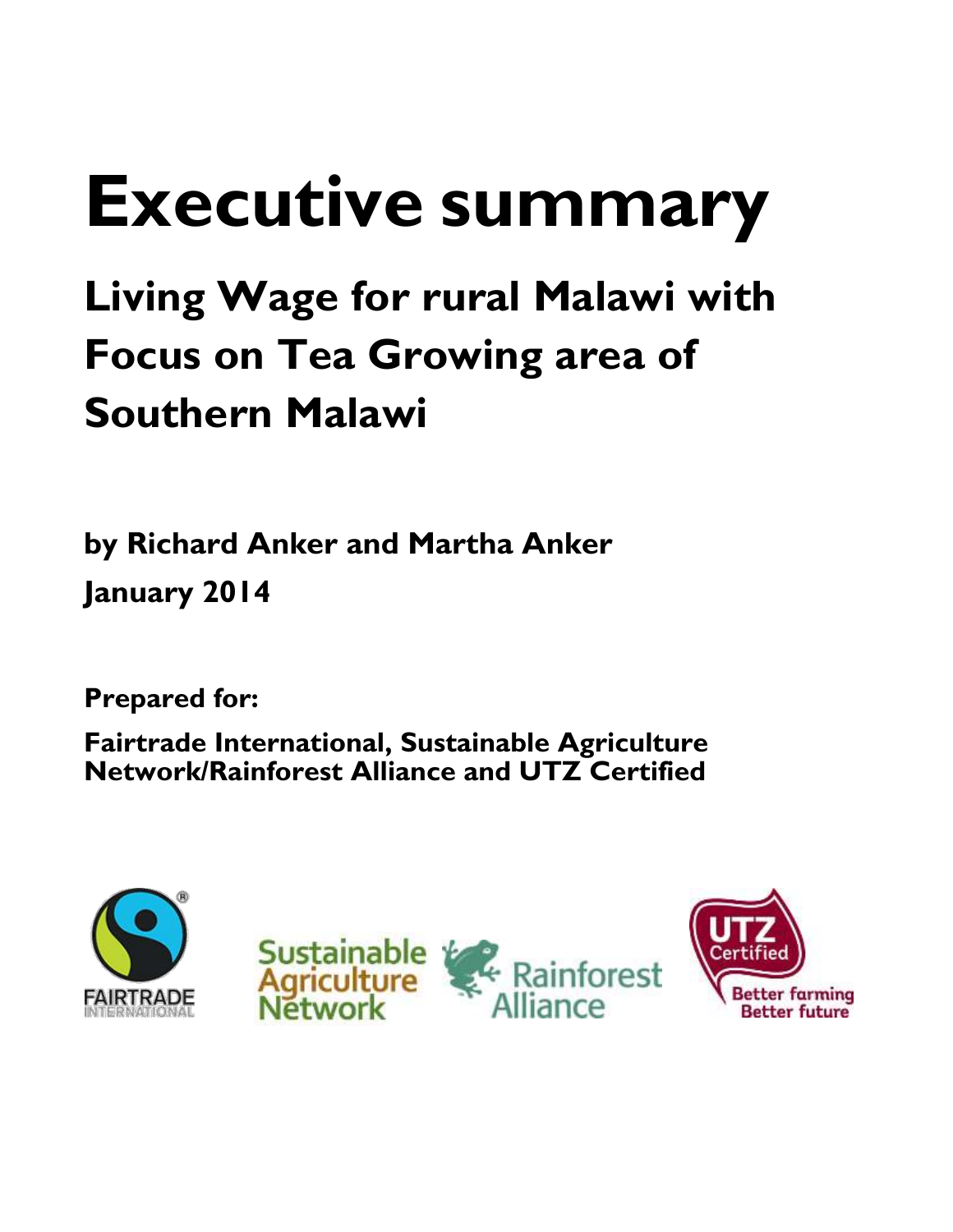# **Executive summary**

# **Living Wage for rural Malawi with Focus on Tea Growing area of Southern Malawi**

**by Richard Anker and Martha Anker January 2014**

**Prepared for:** 

**Fairtrade International, Sustainable Agriculture Network/Rainforest Alliance and UTZ Certified**





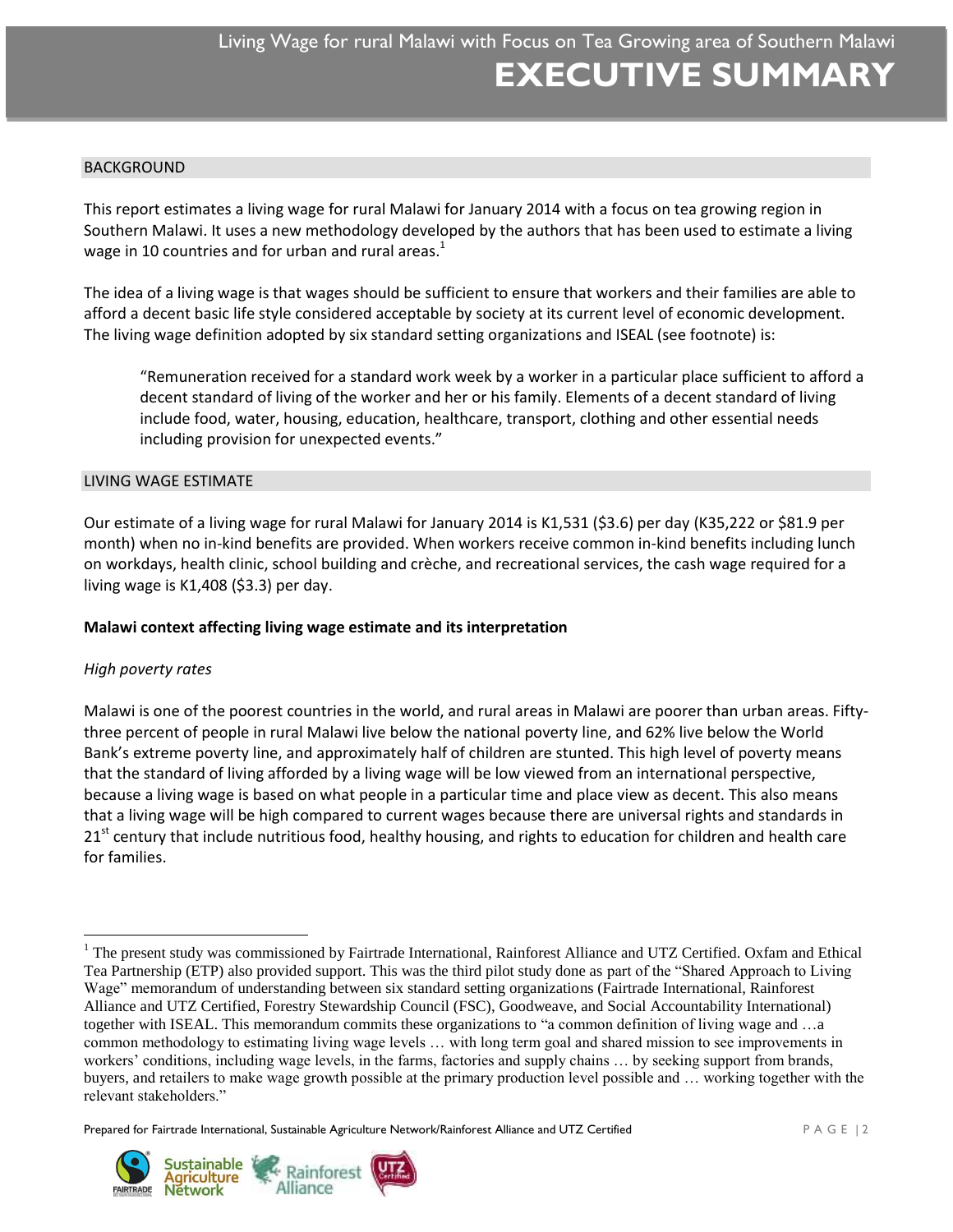#### BACKGROUND

This report estimates a living wage for rural Malawi for January 2014 with a focus on tea growing region in Southern Malawi. It uses a new methodology developed by the authors that has been used to estimate a living wage in 10 countries and for urban and rural areas. $<sup>1</sup>$ </sup>

The idea of a living wage is that wages should be sufficient to ensure that workers and their families are able to afford a decent basic life style considered acceptable by society at its current level of economic development. The living wage definition adopted by six standard setting organizations and ISEAL (see footnote) is:

"Remuneration received for a standard work week by a worker in a particular place sufficient to afford a decent standard of living of the worker and her or his family. Elements of a decent standard of living include food, water, housing, education, healthcare, transport, clothing and other essential needs including provision for unexpected events."

#### LIVING WAGE ESTIMATE

Our estimate of a living wage for rural Malawi for January 2014 is K1,531 (\$3.6) per day (K35,222 or \$81.9 per month) when no in-kind benefits are provided. When workers receive common in-kind benefits including lunch on workdays, health clinic, school building and crèche, and recreational services, the cash wage required for a living wage is K1,408 (\$3.3) per day.

# **Malawi context affecting living wage estimate and its interpretation**

# *High poverty rates*

 $\overline{a}$ 

Malawi is one of the poorest countries in the world, and rural areas in Malawi are poorer than urban areas. Fiftythree percent of people in rural Malawi live below the national poverty line, and 62% live below the World Bank's extreme poverty line, and approximately half of children are stunted. This high level of poverty means that the standard of living afforded by a living wage will be low viewed from an international perspective, because a living wage is based on what people in a particular time and place view as decent. This also means that a living wage will be high compared to current wages because there are universal rights and standards in 21<sup>st</sup> century that include nutritious food, healthy housing, and rights to education for children and health care for families.

Prepared for Fairtrade International, Sustainable Agriculture Network/Rainforest Alliance and UTZ Certified  $P A G E | 2$ 



<sup>&</sup>lt;sup>1</sup> The present study was commissioned by Fairtrade International, Rainforest Alliance and UTZ Certified. Oxfam and Ethical Tea Partnership (ETP) also provided support. This was the third pilot study done as part of the "Shared Approach to Living Wage" memorandum of understanding between six standard setting organizations (Fairtrade International, Rainforest Alliance and UTZ Certified, Forestry Stewardship Council (FSC), Goodweave, and Social Accountability International) together with ISEAL. This memorandum commits these organizations to "a common definition of living wage and …a common methodology to estimating living wage levels … with long term goal and shared mission to see improvements in workers' conditions, including wage levels, in the farms, factories and supply chains … by seeking support from brands, buyers, and retailers to make wage growth possible at the primary production level possible and … working together with the relevant stakeholders."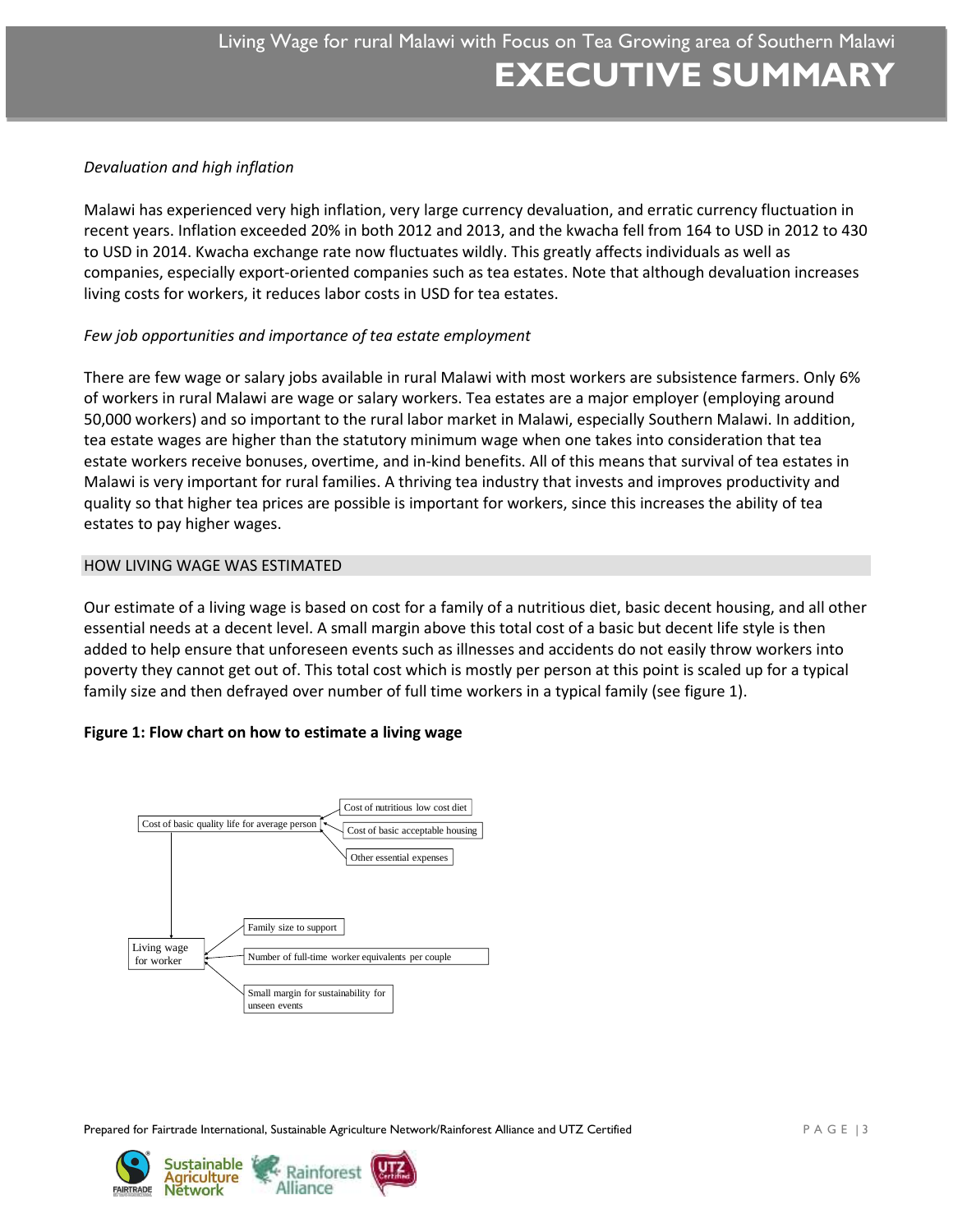# *Devaluation and high inflation*

Malawi has experienced very high inflation, very large currency devaluation, and erratic currency fluctuation in recent years. Inflation exceeded 20% in both 2012 and 2013, and the kwacha fell from 164 to USD in 2012 to 430 to USD in 2014. Kwacha exchange rate now fluctuates wildly. This greatly affects individuals as well as companies, especially export-oriented companies such as tea estates. Note that although devaluation increases living costs for workers, it reduces labor costs in USD for tea estates.

# *Few job opportunities and importance of tea estate employment*

There are few wage or salary jobs available in rural Malawi with most workers are subsistence farmers. Only 6% of workers in rural Malawi are wage or salary workers. Tea estates are a major employer (employing around 50,000 workers) and so important to the rural labor market in Malawi, especially Southern Malawi. In addition, tea estate wages are higher than the statutory minimum wage when one takes into consideration that tea estate workers receive bonuses, overtime, and in-kind benefits. All of this means that survival of tea estates in Malawi is very important for rural families. A thriving tea industry that invests and improves productivity and quality so that higher tea prices are possible is important for workers, since this increases the ability of tea estates to pay higher wages.

#### HOW LIVING WAGE WAS ESTIMATED

Our estimate of a living wage is based on cost for a family of a nutritious diet, basic decent housing, and all other essential needs at a decent level. A small margin above this total cost of a basic but decent life style is then added to help ensure that unforeseen events such as illnesses and accidents do not easily throw workers into poverty they cannot get out of. This total cost which is mostly per person at this point is scaled up for a typical family size and then defrayed over number of full time workers in a typical family (see figure 1).

# **Figure 1: Flow chart on how to estimate a living wage**



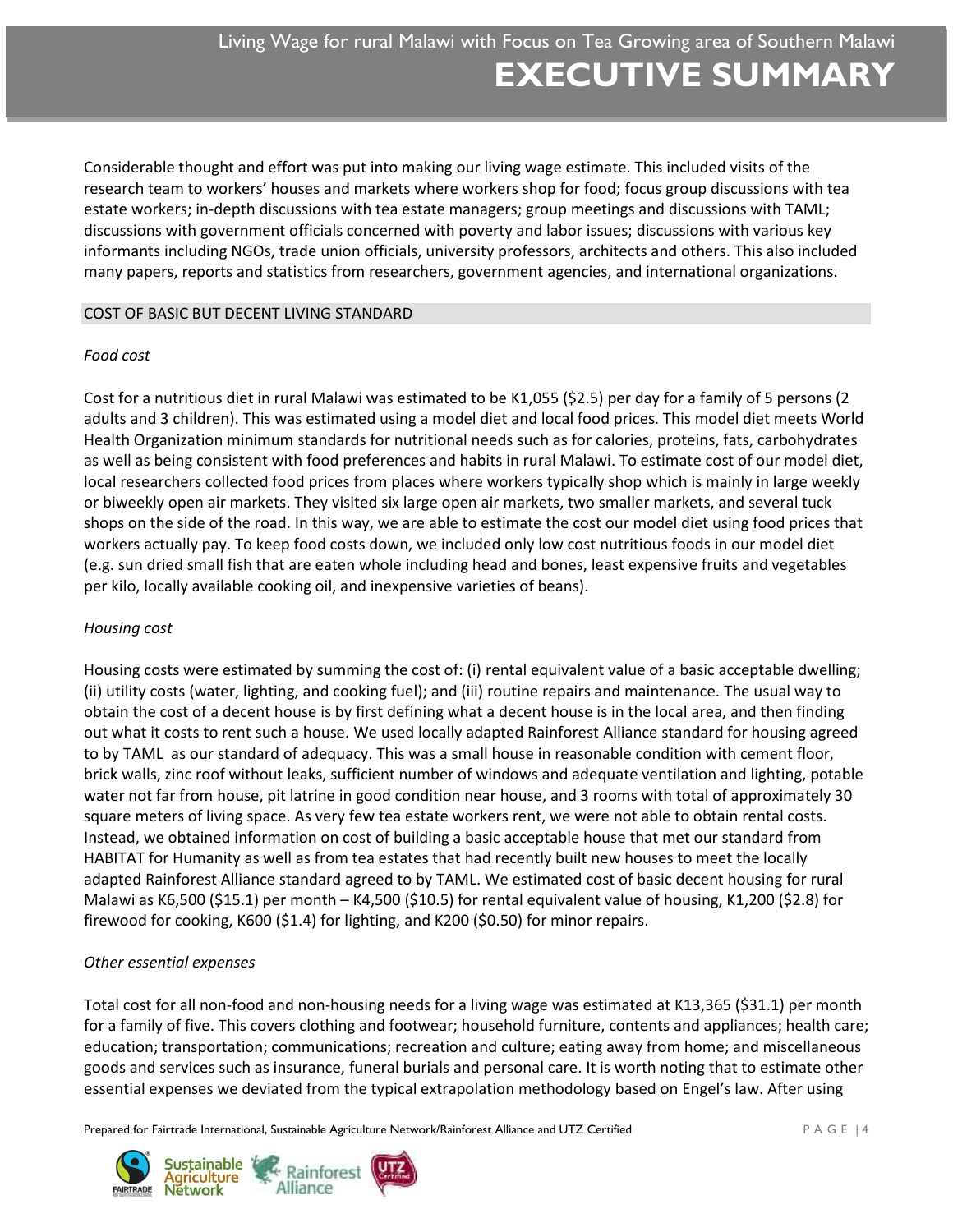Considerable thought and effort was put into making our living wage estimate. This included visits of the research team to workers' houses and markets where workers shop for food; focus group discussions with tea estate workers; in-depth discussions with tea estate managers; group meetings and discussions with TAML; discussions with government officials concerned with poverty and labor issues; discussions with various key informants including NGOs, trade union officials, university professors, architects and others. This also included many papers, reports and statistics from researchers, government agencies, and international organizations.

# COST OF BASIC BUT DECENT LIVING STANDARD

# *Food cost*

Cost for a nutritious diet in rural Malawi was estimated to be K1,055 (\$2.5) per day for a family of 5 persons (2 adults and 3 children). This was estimated using a model diet and local food prices. This model diet meets World Health Organization minimum standards for nutritional needs such as for calories, proteins, fats, carbohydrates as well as being consistent with food preferences and habits in rural Malawi. To estimate cost of our model diet, local researchers collected food prices from places where workers typically shop which is mainly in large weekly or biweekly open air markets. They visited six large open air markets, two smaller markets, and several tuck shops on the side of the road. In this way, we are able to estimate the cost our model diet using food prices that workers actually pay. To keep food costs down, we included only low cost nutritious foods in our model diet (e.g. sun dried small fish that are eaten whole including head and bones, least expensive fruits and vegetables per kilo, locally available cooking oil, and inexpensive varieties of beans).

# *Housing cost*

Housing costs were estimated by summing the cost of: (i) rental equivalent value of a basic acceptable dwelling; (ii) utility costs (water, lighting, and cooking fuel); and (iii) routine repairs and maintenance. The usual way to obtain the cost of a decent house is by first defining what a decent house is in the local area, and then finding out what it costs to rent such a house. We used locally adapted Rainforest Alliance standard for housing agreed to by TAML as our standard of adequacy. This was a small house in reasonable condition with cement floor, brick walls, zinc roof without leaks, sufficient number of windows and adequate ventilation and lighting, potable water not far from house, pit latrine in good condition near house, and 3 rooms with total of approximately 30 square meters of living space. As very few tea estate workers rent, we were not able to obtain rental costs. Instead, we obtained information on cost of building a basic acceptable house that met our standard from HABITAT for Humanity as well as from tea estates that had recently built new houses to meet the locally adapted Rainforest Alliance standard agreed to by TAML. We estimated cost of basic decent housing for rural Malawi as K6,500 (\$15.1) per month – K4,500 (\$10.5) for rental equivalent value of housing, K1,200 (\$2.8) for firewood for cooking, K600 (\$1.4) for lighting, and K200 (\$0.50) for minor repairs.

# *Other essential expenses*

Total cost for all non-food and non-housing needs for a living wage was estimated at K13,365 (\$31.1) per month for a family of five. This covers clothing and footwear; household furniture, contents and appliances; health care; education; transportation; communications; recreation and culture; eating away from home; and miscellaneous goods and services such as insurance, funeral burials and personal care. It is worth noting that to estimate other essential expenses we deviated from the typical extrapolation methodology based on Engel's law. After using

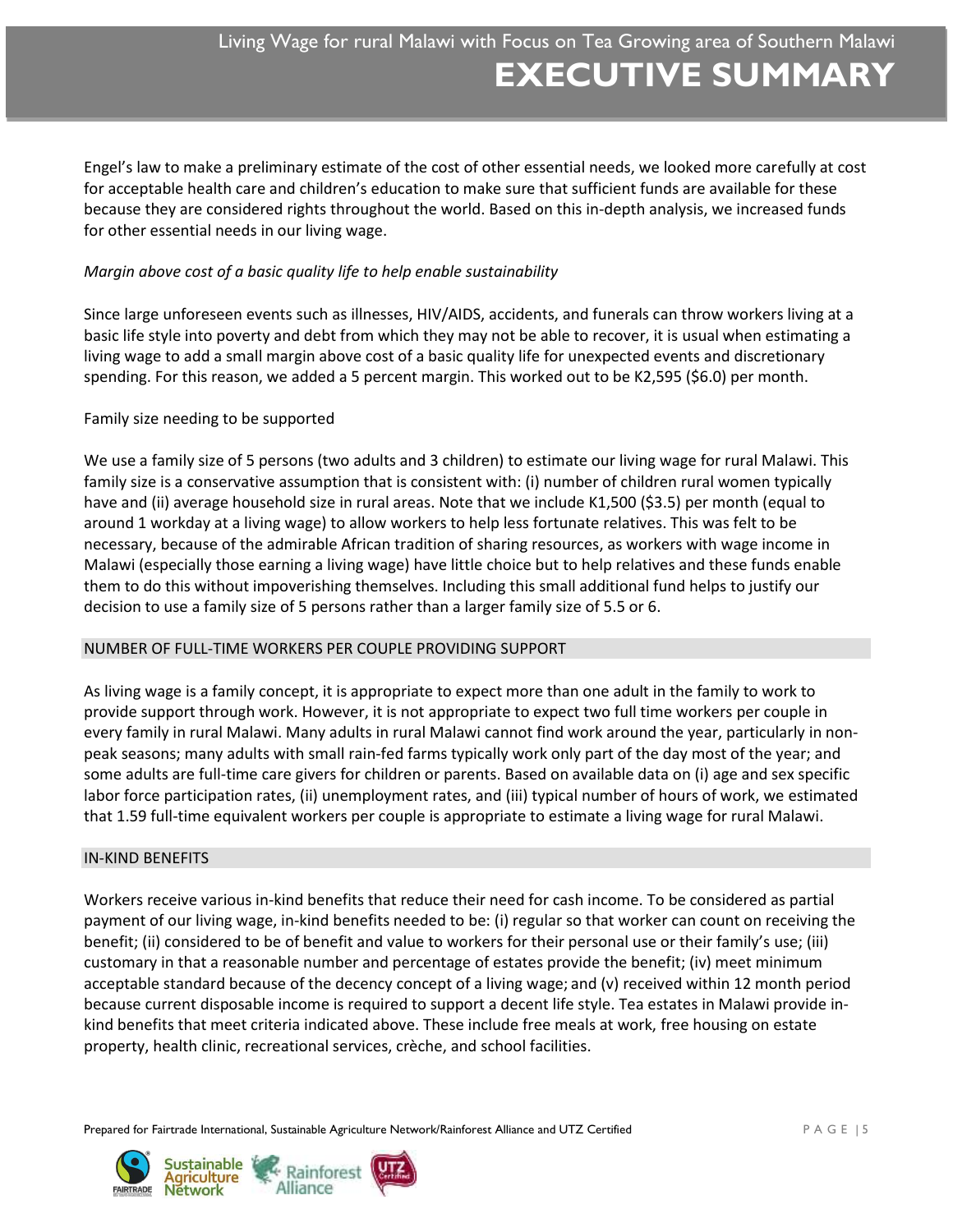Engel's law to make a preliminary estimate of the cost of other essential needs, we looked more carefully at cost for acceptable health care and children's education to make sure that sufficient funds are available for these because they are considered rights throughout the world. Based on this in-depth analysis, we increased funds for other essential needs in our living wage.

# *Margin above cost of a basic quality life to help enable sustainability*

Since large unforeseen events such as illnesses, HIV/AIDS, accidents, and funerals can throw workers living at a basic life style into poverty and debt from which they may not be able to recover, it is usual when estimating a living wage to add a small margin above cost of a basic quality life for unexpected events and discretionary spending. For this reason, we added a 5 percent margin. This worked out to be K2,595 (\$6.0) per month.

# Family size needing to be supported

We use a family size of 5 persons (two adults and 3 children) to estimate our living wage for rural Malawi. This family size is a conservative assumption that is consistent with: (i) number of children rural women typically have and (ii) average household size in rural areas. Note that we include K1,500 (\$3.5) per month (equal to around 1 workday at a living wage) to allow workers to help less fortunate relatives. This was felt to be necessary, because of the admirable African tradition of sharing resources, as workers with wage income in Malawi (especially those earning a living wage) have little choice but to help relatives and these funds enable them to do this without impoverishing themselves. Including this small additional fund helps to justify our decision to use a family size of 5 persons rather than a larger family size of 5.5 or 6.

# NUMBER OF FULL-TIME WORKERS PER COUPLE PROVIDING SUPPORT

As living wage is a family concept, it is appropriate to expect more than one adult in the family to work to provide support through work. However, it is not appropriate to expect two full time workers per couple in every family in rural Malawi. Many adults in rural Malawi cannot find work around the year, particularly in nonpeak seasons; many adults with small rain-fed farms typically work only part of the day most of the year; and some adults are full-time care givers for children or parents. Based on available data on (i) age and sex specific labor force participation rates, (ii) unemployment rates, and (iii) typical number of hours of work, we estimated that 1.59 full-time equivalent workers per couple is appropriate to estimate a living wage for rural Malawi.

#### IN-KIND BENEFITS

Workers receive various in-kind benefits that reduce their need for cash income. To be considered as partial payment of our living wage, in-kind benefits needed to be: (i) regular so that worker can count on receiving the benefit; (ii) considered to be of benefit and value to workers for their personal use or their family's use; (iii) customary in that a reasonable number and percentage of estates provide the benefit; (iv) meet minimum acceptable standard because of the decency concept of a living wage; and (v) received within 12 month period because current disposable income is required to support a decent life style. Tea estates in Malawi provide inkind benefits that meet criteria indicated above. These include free meals at work, free housing on estate property, health clinic, recreational services, crèche, and school facilities.

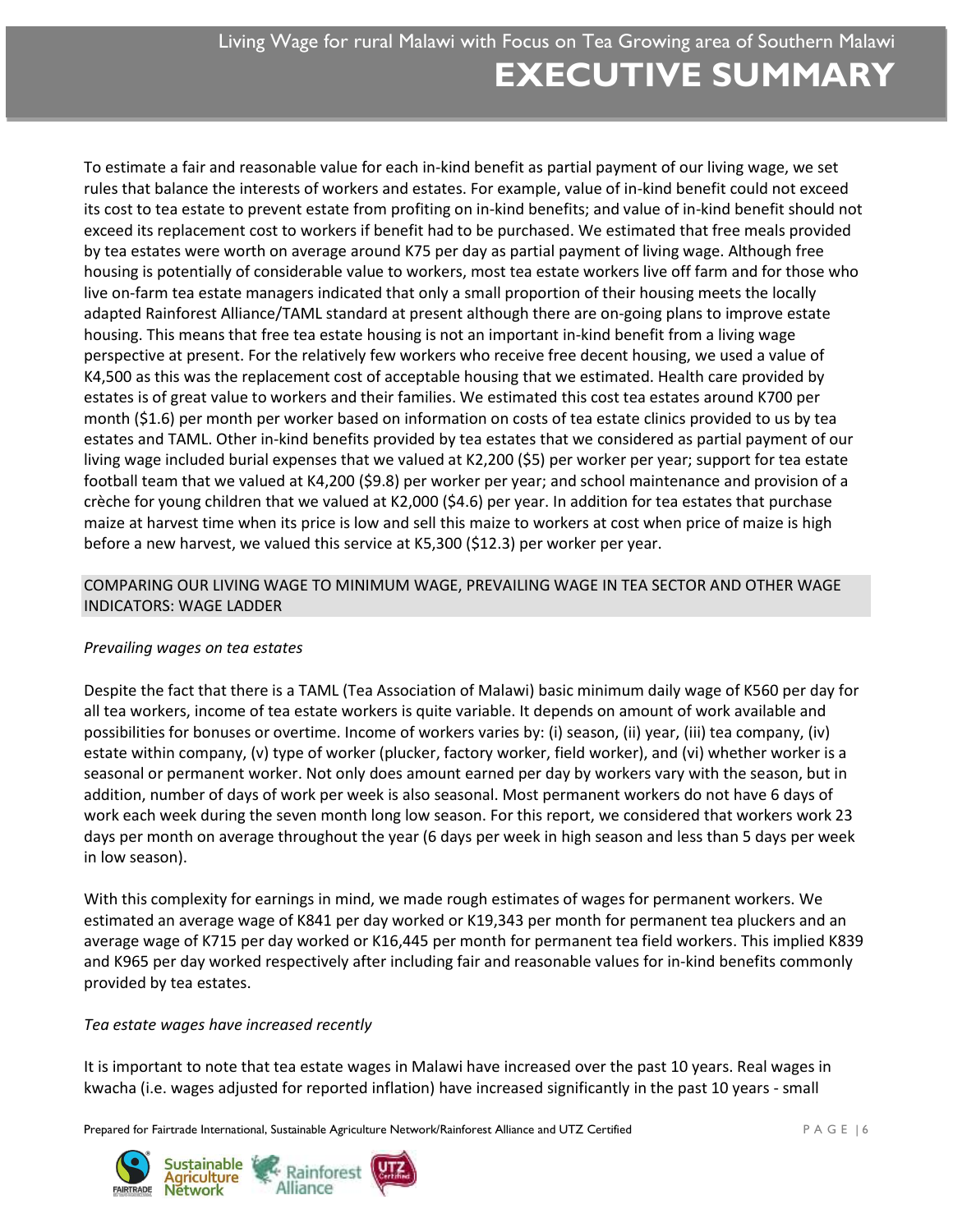To estimate a fair and reasonable value for each in-kind benefit as partial payment of our living wage, we set rules that balance the interests of workers and estates. For example, value of in-kind benefit could not exceed its cost to tea estate to prevent estate from profiting on in-kind benefits; and value of in-kind benefit should not exceed its replacement cost to workers if benefit had to be purchased. We estimated that free meals provided by tea estates were worth on average around K75 per day as partial payment of living wage. Although free housing is potentially of considerable value to workers, most tea estate workers live off farm and for those who live on-farm tea estate managers indicated that only a small proportion of their housing meets the locally adapted Rainforest Alliance/TAML standard at present although there are on-going plans to improve estate housing. This means that free tea estate housing is not an important in-kind benefit from a living wage perspective at present. For the relatively few workers who receive free decent housing, we used a value of K4,500 as this was the replacement cost of acceptable housing that we estimated. Health care provided by estates is of great value to workers and their families. We estimated this cost tea estates around K700 per month (\$1.6) per month per worker based on information on costs of tea estate clinics provided to us by tea estates and TAML. Other in-kind benefits provided by tea estates that we considered as partial payment of our living wage included burial expenses that we valued at K2,200 (\$5) per worker per year; support for tea estate football team that we valued at K4,200 (\$9.8) per worker per year; and school maintenance and provision of a crèche for young children that we valued at K2,000 (\$4.6) per year. In addition for tea estates that purchase maize at harvest time when its price is low and sell this maize to workers at cost when price of maize is high before a new harvest, we valued this service at K5,300 (\$12.3) per worker per year.

# COMPARING OUR LIVING WAGE TO MINIMUM WAGE, PREVAILING WAGE IN TEA SECTOR AND OTHER WAGE INDICATORS: WAGE LADDER

# *Prevailing wages on tea estates*

Despite the fact that there is a TAML (Tea Association of Malawi) basic minimum daily wage of K560 per day for all tea workers, income of tea estate workers is quite variable. It depends on amount of work available and possibilities for bonuses or overtime. Income of workers varies by: (i) season, (ii) year, (iii) tea company, (iv) estate within company, (v) type of worker (plucker, factory worker, field worker), and (vi) whether worker is a seasonal or permanent worker. Not only does amount earned per day by workers vary with the season, but in addition, number of days of work per week is also seasonal. Most permanent workers do not have 6 days of work each week during the seven month long low season. For this report, we considered that workers work 23 days per month on average throughout the year (6 days per week in high season and less than 5 days per week in low season).

With this complexity for earnings in mind, we made rough estimates of wages for permanent workers. We estimated an average wage of K841 per day worked or K19,343 per month for permanent tea pluckers and an average wage of K715 per day worked or K16,445 per month for permanent tea field workers. This implied K839 and K965 per day worked respectively after including fair and reasonable values for in-kind benefits commonly provided by tea estates.

# *Tea estate wages have increased recently*

It is important to note that tea estate wages in Malawi have increased over the past 10 years. Real wages in kwacha (i.e. wages adjusted for reported inflation) have increased significantly in the past 10 years - small